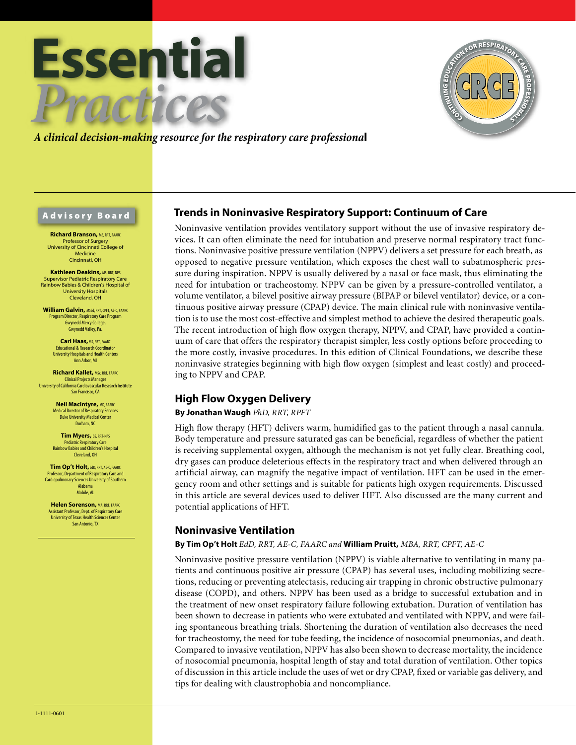



## *A clinical decision-making resource for the respiratory care professiona*l

#### Advisory Board

**Richard Branson,** MS, RRT, FAARC Professor of Surgery University of Cincinnati College of Medicine Cincinnati, OH

**Kathleen Deakins, MS, RRT, NPS** Supervisor Pediatric Respiratory Care Rainbow Babies & Children's Hospital of University Hospitals Cleveland, OH

**William Galvin,** MSEd, RRT, CPFT, AE-C, FAARC Program Director, Respiratory Care Program Gwynedd Mercy College, Gwynedd Valley, Pa.

> **Carl Haas, MS, RRT, FAARC** Educational & Research Coordinator University Hospitals and Health Centers Ann Arbor, MI

**Richard Kallet,** MSc, RRT, FAARC **Clinical Projects Manager** University of California Cardiovascular Research Institute San Francisco, CA

> **Neil MacIntyre,** MD, FAARC Medical Director of Respiratory Services Duke University Medical Center Durham, NC

**Tim Myers,** BS, RRT-NPS ediatric Respiratory Care Rainbow Babies and Children's Hospital Cleveland, OH

**Tim Op't Holt,** EdD, RRT, AE-C, FAARC Professor, Department of Respiratory Care and Cardiopulmonary Sciences University of Southern Alabama Mobile, AL

**Helen Sorenson, MA, RRT, FAARC** Assistant Professor, Dept. of Respiratory Care University of Texas Health Sciences Center San Antonio, TX

## **Trends in Noninvasive Respiratory Support: Continuum of Care**

Noninvasive ventilation provides ventilatory support without the use of invasive respiratory devices. It can often eliminate the need for intubation and preserve normal respiratory tract functions. Noninvasive positive pressure ventilation (NPPV) delivers a set pressure for each breath, as opposed to negative pressure ventilation, which exposes the chest wall to subatmospheric pressure during inspiration. NPPV is usually delivered by a nasal or face mask, thus eliminating the need for intubation or tracheostomy. NPPV can be given by a pressure-controlled ventilator, a volume ventilator, a bilevel positive airway pressure (BIPAP or bilevel ventilator) device, or a continuous positive airway pressure (CPAP) device. The main clinical rule with noninvasive ventilation is to use the most cost-effective and simplest method to achieve the desired therapeutic goals. The recent introduction of high flow oxygen therapy, NPPV, and CPAP, have provided a continuum of care that offers the respiratory therapist simpler, less costly options before proceeding to the more costly, invasive procedures. In this edition of Clinical Foundations, we describe these noninvasive strategies beginning with high flow oxygen (simplest and least costly) and proceeding to NPPV and CPAP.

## **High Flow Oxygen Delivery**

#### **By Jonathan Waugh** *PhD, RRT, RPFT*

High flow therapy (HFT) delivers warm, humidified gas to the patient through a nasal cannula. Body temperature and pressure saturated gas can be beneficial, regardless of whether the patient is receiving supplemental oxygen, although the mechanism is not yet fully clear. Breathing cool, dry gases can produce deleterious effects in the respiratory tract and when delivered through an artificial airway, can magnify the negative impact of ventilation. HFT can be used in the emergency room and other settings and is suitable for patients high oxygen requirements. Discussed in this article are several devices used to deliver HFT. Also discussed are the many current and potential applications of HFT.

#### **Noninvasive Ventilation**

#### **By Tim Op't Holt** *EdD, RRT, AE-C, FAARC and* **William Pruitt,** *MBA, RRT, CPFT, AE-C*

Noninvasive positive pressure ventilation (NPPV) is viable alternative to ventilating in many patients and continuous positive air pressure (CPAP) has several uses, including mobilizing secretions, reducing or preventing atelectasis, reducing air trapping in chronic obstructive pulmonary disease (COPD), and others. NPPV has been used as a bridge to successful extubation and in the treatment of new onset respiratory failure following extubation. Duration of ventilation has been shown to decrease in patients who were extubated and ventilated with NPPV, and were failing spontaneous breathing trials. Shortening the duration of ventilation also decreases the need for tracheostomy, the need for tube feeding, the incidence of nosocomial pneumonias, and death. Compared to invasive ventilation, NPPV has also been shown to decrease mortality, the incidence of nosocomial pneumonia, hospital length of stay and total duration of ventilation. Other topics of discussion in this article include the uses of wet or dry CPAP, fixed or variable gas delivery, and tips for dealing with claustrophobia and noncompliance.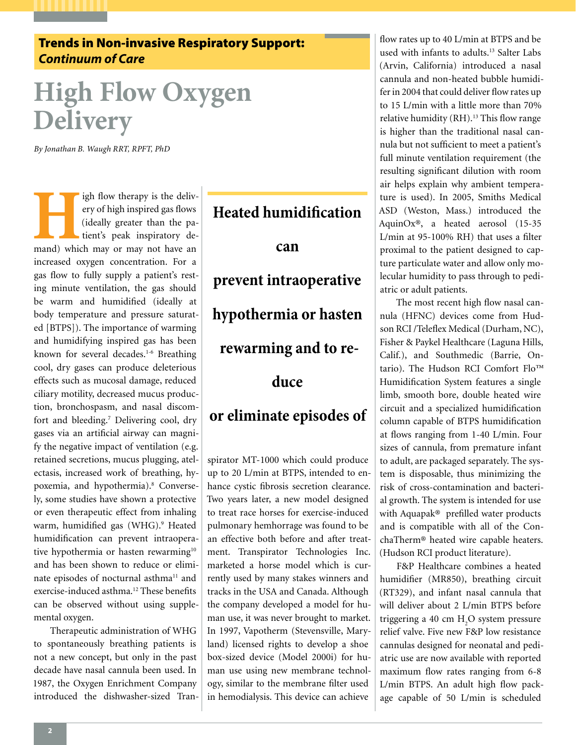# Trends in Non-invasive Respiratory Support: *Continuum of Care*

# **High Flow Oxygen Delivery**

*By Jonathan B. Waugh RRT, RPFT, PhD*

**High flow therapy is the delivery of high inspired gas flows (ideally greater than the patient's peak inspiratory demand) which may or may not have an** ery of high inspired gas flows (ideally greater than the patient's peak inspiratory deincreased oxygen concentration. For a gas flow to fully supply a patient's resting minute ventilation, the gas should be warm and humidified (ideally at body temperature and pressure saturated [BTPS]). The importance of warming and humidifying inspired gas has been known for several decades.<sup>1-6</sup> Breathing cool, dry gases can produce deleterious effects such as mucosal damage, reduced ciliary motility, decreased mucus production, bronchospasm, and nasal discomfort and bleeding.<sup>7</sup> Delivering cool, dry gases via an artificial airway can magnify the negative impact of ventilation (e.g. retained secretions, mucus plugging, atelectasis, increased work of breathing, hypoxemia, and hypothermia).<sup>8</sup> Conversely, some studies have shown a protective or even therapeutic effect from inhaling warm, humidified gas (WHG).<sup>9</sup> Heated humidification can prevent intraoperative hypothermia or hasten rewarming<sup>10</sup> and has been shown to reduce or eliminate episodes of nocturnal asthma<sup>11</sup> and exercise-induced asthma.<sup>12</sup> These benefits can be observed without using supplemental oxygen.

Therapeutic administration of WHG to spontaneously breathing patients is not a new concept, but only in the past decade have nasal cannula been used. In 1987, the Oxygen Enrichment Company introduced the dishwasher-sized Tran-

# **Heated humidification can prevent intraoperative hypothermia or hasten rewarming and to reduce or eliminate episodes of**

spirator MT-1000 which could produce up to 20 L/min at BTPS, intended to enhance cystic fibrosis secretion clearance. Two years later, a new model designed to treat race horses for exercise-induced pulmonary hemhorrage was found to be an effective both before and after treatment. Transpirator Technologies Inc. marketed a horse model which is currently used by many stakes winners and tracks in the USA and Canada. Although the company developed a model for human use, it was never brought to market. In 1997, Vapotherm (Stevensville, Maryland) licensed rights to develop a shoe box-sized device (Model 2000i) for human use using new membrane technology, similar to the membrane filter used in hemodialysis. This device can achieve

flow rates up to 40 L/min at BTPS and be used with infants to adults.13 Salter Labs (Arvin, California) introduced a nasal cannula and non-heated bubble humidifer in 2004 that could deliver flow rates up to 15 L/min with a little more than 70% relative humidity  $(RH)$ .<sup>13</sup> This flow range is higher than the traditional nasal cannula but not sufficient to meet a patient's full minute ventilation requirement (the resulting significant dilution with room air helps explain why ambient temperature is used). In 2005, Smiths Medical ASD (Weston, Mass.) introduced the AquinOx®, a heated aerosol (15-35 L/min at 95-100% RH) that uses a filter proximal to the patient designed to capture particulate water and allow only molecular humidity to pass through to pediatric or adult patients.

The most recent high flow nasal cannula (HFNC) devices come from Hudson RCI /Teleflex Medical (Durham, NC), Fisher & Paykel Healthcare (Laguna Hills, Calif.), and Southmedic (Barrie, Ontario). The Hudson RCI Comfort Flo™ Humidification System features a single limb, smooth bore, double heated wire circuit and a specialized humidification column capable of BTPS humidification at flows ranging from 1-40 L/min. Four sizes of cannula, from premature infant to adult, are packaged separately. The system is disposable, thus minimizing the risk of cross-contamination and bacterial growth. The system is intended for use with Aquapak® prefilled water products and is compatible with all of the ConchaTherm® heated wire capable heaters. (Hudson RCI product literature).

F&P Healthcare combines a heated humidifier (MR850), breathing circuit (RT329), and infant nasal cannula that will deliver about 2 L/min BTPS before triggering a 40 cm H<sub>2</sub>O system pressure relief valve. Five new F&P low resistance cannulas designed for neonatal and pediatric use are now available with reported maximum flow rates ranging from 6-8 L/min BTPS. An adult high flow package capable of 50 L/min is scheduled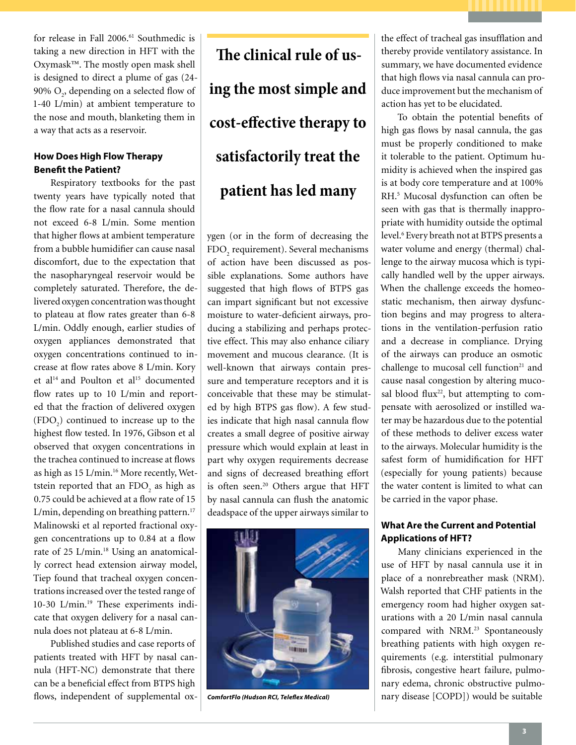for release in Fall 2006.61 Southmedic is taking a new direction in HFT with the Oxymask™. The mostly open mask shell is designed to direct a plume of gas (24- 90%  $O_2$ , depending on a selected flow of 1-40 L/min) at ambient temperature to the nose and mouth, blanketing them in a way that acts as a reservoir.

### **How Does High Flow Therapy Benefit the Patient?**

Respiratory textbooks for the past twenty years have typically noted that the flow rate for a nasal cannula should not exceed 6-8 L/min. Some mention that higher flows at ambient temperature from a bubble humidifier can cause nasal discomfort, due to the expectation that the nasopharyngeal reservoir would be completely saturated. Therefore, the delivered oxygen concentration was thought to plateau at flow rates greater than 6-8 L/min. Oddly enough, earlier studies of oxygen appliances demonstrated that oxygen concentrations continued to increase at flow rates above 8 L/min. Kory et al<sup>14</sup> and Poulton et al<sup>15</sup> documented flow rates up to 10 L/min and reported that the fraction of delivered oxygen  $(FDO<sub>2</sub>)$  continued to increase up to the highest flow tested. In 1976, Gibson et al observed that oxygen concentrations in the trachea continued to increase at flows as high as 15 L/min.<sup>16</sup> More recently, Wettstein reported that an  $\text{FDO}_2$  as high as 0.75 could be achieved at a flow rate of 15 L/min, depending on breathing pattern.<sup>17</sup> Malinowski et al reported fractional oxygen concentrations up to 0.84 at a flow rate of 25 L/min.<sup>18</sup> Using an anatomically correct head extension airway model, Tiep found that tracheal oxygen concentrations increased over the tested range of 10-30 L/min.19 These experiments indicate that oxygen delivery for a nasal cannula does not plateau at 6-8 L/min.

Published studies and case reports of patients treated with HFT by nasal cannula (HFT-NC) demonstrate that there can be a beneficial effect from BTPS high flows, independent of supplemental ox-

**The clinical rule of using the most simple and cost-effective therapy to satisfactorily treat the patient has led many** 

ygen (or in the form of decreasing the  ${\rm FDO}_2$  requirement). Several mechanisms of action have been discussed as possible explanations. Some authors have suggested that high flows of BTPS gas can impart significant but not excessive moisture to water-deficient airways, producing a stabilizing and perhaps protective effect. This may also enhance ciliary movement and mucous clearance. (It is well-known that airways contain pressure and temperature receptors and it is conceivable that these may be stimulated by high BTPS gas flow). A few studies indicate that high nasal cannula flow creates a small degree of positive airway pressure which would explain at least in part why oxygen requirements decrease and signs of decreased breathing effort is often seen.<sup>20</sup> Others argue that HFT by nasal cannula can flush the anatomic deadspace of the upper airways similar to



the effect of tracheal gas insufflation and thereby provide ventilatory assistance. In summary, we have documented evidence that high flows via nasal cannula can produce improvement but the mechanism of action has yet to be elucidated.

To obtain the potential benefits of high gas flows by nasal cannula, the gas must be properly conditioned to make it tolerable to the patient. Optimum humidity is achieved when the inspired gas is at body core temperature and at 100% RH.5 Mucosal dysfunction can often be seen with gas that is thermally inappropriate with humidity outside the optimal level.6 Every breath not at BTPS presents a water volume and energy (thermal) challenge to the airway mucosa which is typically handled well by the upper airways. When the challenge exceeds the homeostatic mechanism, then airway dysfunction begins and may progress to alterations in the ventilation-perfusion ratio and a decrease in compliance. Drying of the airways can produce an osmotic challenge to mucosal cell function<sup>21</sup> and cause nasal congestion by altering mucosal blood flux $22$ , but attempting to compensate with aerosolized or instilled water may be hazardous due to the potential of these methods to deliver excess water to the airways. Molecular humidity is the safest form of humidification for HFT (especially for young patients) because the water content is limited to what can be carried in the vapor phase.

## **What Are the Current and Potential Applications of HFT?**

Many clinicians experienced in the use of HFT by nasal cannula use it in place of a nonrebreather mask (NRM). Walsh reported that CHF patients in the emergency room had higher oxygen saturations with a 20 L/min nasal cannula compared with NRM.<sup>23</sup> Spontaneously breathing patients with high oxygen requirements (e.g. interstitial pulmonary fibrosis, congestive heart failure, pulmonary edema, chronic obstructive pulmo-*ComfortFlo (Hudson RCI, Teleflex Medical)* nary disease [COPD]) would be suitable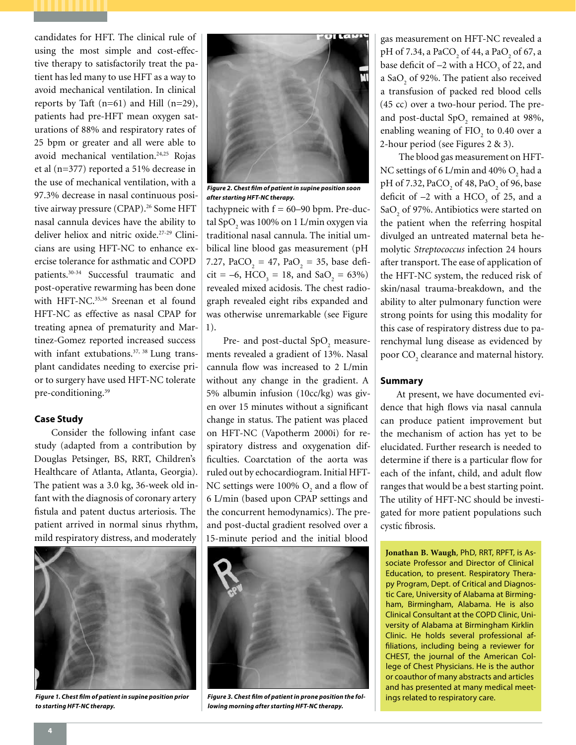candidates for HFT. The clinical rule of using the most simple and cost-effective therapy to satisfactorily treat the patient has led many to use HFT as a way to avoid mechanical ventilation. In clinical reports by Taft  $(n=61)$  and Hill  $(n=29)$ , patients had pre-HFT mean oxygen saturations of 88% and respiratory rates of 25 bpm or greater and all were able to avoid mechanical ventilation.<sup>24,25</sup> Rojas et al (n=377) reported a 51% decrease in the use of mechanical ventilation, with a 97.3% decrease in nasal continuous positive airway pressure (CPAP).<sup>26</sup> Some HFT nasal cannula devices have the ability to deliver heliox and nitric oxide.27-29 Clinicians are using HFT-NC to enhance exercise tolerance for asthmatic and COPD patients.30-34 Successful traumatic and post-operative rewarming has been done with HFT-NC.<sup>35,36</sup> Sreenan et al found HFT-NC as effective as nasal CPAP for treating apnea of prematurity and Martinez-Gomez reported increased success with infant extubations.<sup>37, 38</sup> Lung transplant candidates needing to exercise prior to surgery have used HFT-NC tolerate pre-conditioning.<sup>39</sup>

#### **Case Study**

Consider the following infant case study (adapted from a contribution by Douglas Petsinger, BS, RRT, Children's Healthcare of Atlanta, Atlanta, Georgia). The patient was a 3.0 kg, 36-week old infant with the diagnosis of coronary artery fistula and patent ductus arteriosis. The patient arrived in normal sinus rhythm, mild respiratory distress, and moderately



*Figure 1. Chest film of patient in supine position prior to starting HFT-NC therapy.*



*Figure 2. Chest film of patient in supine position soon after starting HFT-NC therapy.*

tachypneic with  $f = 60-90$  bpm. Pre-ductal Sp $O_2$  was 100% on 1 L/min oxygen via traditional nasal cannula. The initial umbilical line blood gas measurement (pH 7.27,  $PaCO_2 = 47$ ,  $PaO_2 = 35$ , base defi- $\text{cit} = -6, \text{ HCO}_3 = 18, \text{ and } \text{SaO}_2 = 63\%$ revealed mixed acidosis. The chest radiograph revealed eight ribs expanded and was otherwise unremarkable (see Figure 1).

Pre- and post-ductal  $\text{SpO}_2$  measurements revealed a gradient of 13%. Nasal cannula flow was increased to 2 L/min without any change in the gradient. A 5% albumin infusion (10cc/kg) was given over 15 minutes without a significant change in status. The patient was placed on HFT-NC (Vapotherm 2000i) for respiratory distress and oxygenation difficulties. Coarctation of the aorta was ruled out by echocardiogram. Initial HFT-NC settings were  $100\%$  O<sub>2</sub> and a flow of 6 L/min (based upon CPAP settings and the concurrent hemodynamics). The preand post-ductal gradient resolved over a 15-minute period and the initial blood



*Figure 3. Chest film of patient in prone position the following morning after starting HFT-NC therapy.* 

gas measurement on HFT-NC revealed a pH of 7.34, a PaCO<sub>2</sub> of 44, a PaO<sub>2</sub> of 67, a base deficit of  $-2$  with a HCO<sub>3</sub> of 22, and a Sa $O_2$  of 92%. The patient also received a transfusion of packed red blood cells (45 cc) over a two-hour period. The preand post-ductal  $SpO_2$  remained at 98%, enabling weaning of  $FIO<sub>2</sub>$  to 0.40 over a 2-hour period (see Figures 2 & 3).

 The blood gas measurement on HFT-NC settings of 6 L/min and 40%  $O_2$  had a pH of 7.32, PaCO<sub>2</sub> of 48, PaO<sub>2</sub> of 96, base deficit of  $-2$  with a HCO<sub>3</sub> of 25, and a SaO<sub>2</sub> of 97%. Antibiotics were started on the patient when the referring hospital divulged an untreated maternal beta hemolytic *Streptococcus* infection 24 hours after transport. The ease of application of the HFT-NC system, the reduced risk of skin/nasal trauma-breakdown, and the ability to alter pulmonary function were strong points for using this modality for this case of respiratory distress due to parenchymal lung disease as evidenced by poor  $\mathrm{CO}_2$  clearance and maternal history.

#### **Summary**

At present, we have documented evidence that high flows via nasal cannula can produce patient improvement but the mechanism of action has yet to be elucidated. Further research is needed to determine if there is a particular flow for each of the infant, child, and adult flow ranges that would be a best starting point. The utility of HFT-NC should be investigated for more patient populations such cystic fibrosis.

**Jonathan B. Waugh**, PhD, RRT, RPFT, is Associate Professor and Director of Clinical Education, to present. Respiratory Therapy Program, Dept. of Critical and Diagnostic Care, University of Alabama at Birmingham, Birmingham, Alabama. He is also Clinical Consultant at the COPD Clinic, University of Alabama at Birmingham Kirklin Clinic. He holds several professional affiliations, including being a reviewer for CHEST, the journal of the American College of Chest Physicians. He is the author or coauthor of many abstracts and articles and has presented at many medical meetings related to respiratory care.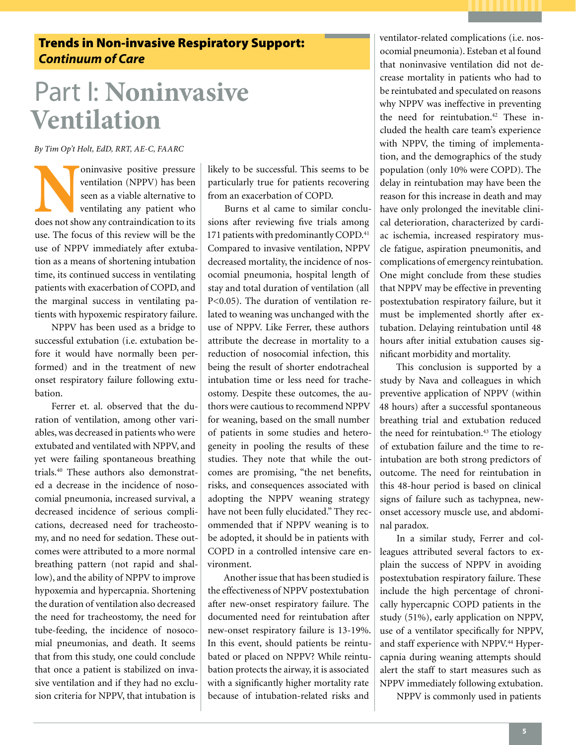## Trends in Non-invasive Respiratory Support: *Continuum of Care*

# Part I: **Noninvasive Ventilation**

*By Tim Op't Holt, EdD, RRT, AE-C, FAARC*

**Noninvasive positive pressure ventilation** (NPPV) has been seen as a viable alternative to ventilating any patient who does not show any contraindication to its ventilation (NPPV) has been seen as a viable alternative to ventilating any patient who use. The focus of this review will be the use of NPPV immediately after extubation as a means of shortening intubation time, its continued success in ventilating patients with exacerbation of COPD, and the marginal success in ventilating patients with hypoxemic respiratory failure.

NPPV has been used as a bridge to successful extubation (i.e. extubation before it would have normally been performed) and in the treatment of new onset respiratory failure following extubation.

Ferrer et. al. observed that the duration of ventilation, among other variables, was decreased in patients who were extubated and ventilated with NPPV, and yet were failing spontaneous breathing trials.40 These authors also demonstrated a decrease in the incidence of nosocomial pneumonia, increased survival, a decreased incidence of serious complications, decreased need for tracheostomy, and no need for sedation. These outcomes were attributed to a more normal breathing pattern (not rapid and shallow), and the ability of NPPV to improve hypoxemia and hypercapnia. Shortening the duration of ventilation also decreased the need for tracheostomy, the need for tube-feeding, the incidence of nosocomial pneumonias, and death. It seems that from this study, one could conclude that once a patient is stabilized on invasive ventilation and if they had no exclusion criteria for NPPV, that intubation is

likely to be successful. This seems to be particularly true for patients recovering from an exacerbation of COPD.

Burns et al came to similar conclusions after reviewing five trials among 171 patients with predominantly COPD.<sup>41</sup> Compared to invasive ventilation, NPPV decreased mortality, the incidence of nosocomial pneumonia, hospital length of stay and total duration of ventilation (all P<0.05). The duration of ventilation related to weaning was unchanged with the use of NPPV. Like Ferrer, these authors attribute the decrease in mortality to a reduction of nosocomial infection, this being the result of shorter endotracheal intubation time or less need for tracheostomy. Despite these outcomes, the authors were cautious to recommend NPPV for weaning, based on the small number of patients in some studies and heterogeneity in pooling the results of these studies. They note that while the outcomes are promising, "the net benefits, risks, and consequences associated with adopting the NPPV weaning strategy have not been fully elucidated." They recommended that if NPPV weaning is to be adopted, it should be in patients with COPD in a controlled intensive care environment.

Another issue that has been studied is the effectiveness of NPPV postextubation after new-onset respiratory failure. The documented need for reintubation after new-onset respiratory failure is 13-19%. In this event, should patients be reintubated or placed on NPPV? While reintubation protects the airway, it is associated with a significantly higher mortality rate because of intubation-related risks and

ventilator-related complications (i.e. nosocomial pneumonia). Esteban et al found that noninvasive ventilation did not decrease mortality in patients who had to be reintubated and speculated on reasons why NPPV was ineffective in preventing the need for reintubation.<sup>42</sup> These included the health care team's experience with NPPV, the timing of implementation, and the demographics of the study population (only 10% were COPD). The delay in reintubation may have been the reason for this increase in death and may have only prolonged the inevitable clinical deterioration, characterized by cardiac ischemia, increased respiratory muscle fatigue, aspiration pneumonitis, and complications of emergency reintubation. One might conclude from these studies that NPPV may be effective in preventing postextubation respiratory failure, but it must be implemented shortly after extubation. Delaying reintubation until 48 hours after initial extubation causes significant morbidity and mortality.

This conclusion is supported by a study by Nava and colleagues in which preventive application of NPPV (within 48 hours) after a successful spontaneous breathing trial and extubation reduced the need for reintubation.<sup>43</sup> The etiology of extubation failure and the time to reintubation are both strong predictors of outcome. The need for reintubation in this 48-hour period is based on clinical signs of failure such as tachypnea, newonset accessory muscle use, and abdominal paradox.

In a similar study, Ferrer and colleagues attributed several factors to explain the success of NPPV in avoiding postextubation respiratory failure. These include the high percentage of chronically hypercapnic COPD patients in the study (51%), early application on NPPV, use of a ventilator specifically for NPPV, and staff experience with NPPV.<sup>44</sup> Hypercapnia during weaning attempts should alert the staff to start measures such as NPPV immediately following extubation.

NPPV is commonly used in patients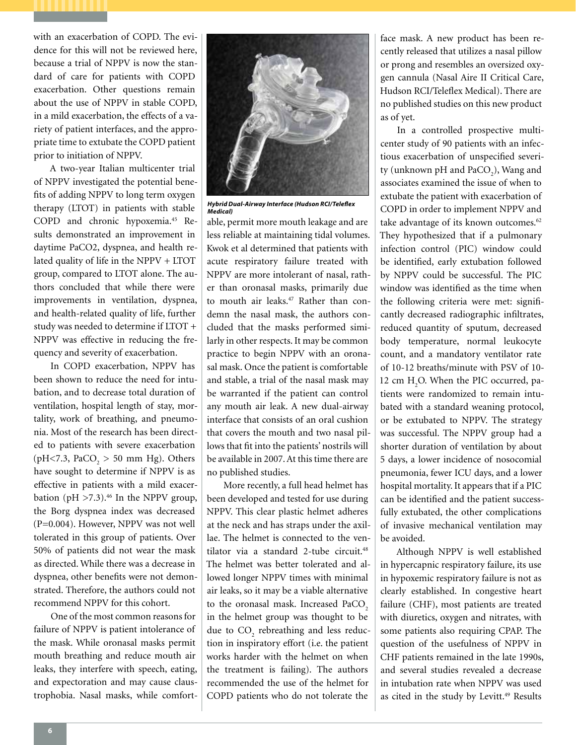with an exacerbation of COPD. The evidence for this will not be reviewed here, because a trial of NPPV is now the standard of care for patients with COPD exacerbation. Other questions remain about the use of NPPV in stable COPD, in a mild exacerbation, the effects of a variety of patient interfaces, and the appropriate time to extubate the COPD patient prior to initiation of NPPV.

A two-year Italian multicenter trial of NPPV investigated the potential benefits of adding NPPV to long term oxygen therapy (LTOT) in patients with stable COPD and chronic hypoxemia.45 Results demonstrated an improvement in daytime PaCO2, dyspnea, and health related quality of life in the NPPV + LTOT group, compared to LTOT alone. The authors concluded that while there were improvements in ventilation, dyspnea, and health-related quality of life, further study was needed to determine if LTOT + NPPV was effective in reducing the frequency and severity of exacerbation.

In COPD exacerbation, NPPV has been shown to reduce the need for intubation, and to decrease total duration of ventilation, hospital length of stay, mortality, work of breathing, and pneumonia. Most of the research has been directed to patients with severe exacerbation (pH<7.3,  $PaCO<sub>2</sub> > 50$  mm Hg). Others have sought to determine if NPPV is as effective in patients with a mild exacerbation (pH  $>7.3$ ).<sup>46</sup> In the NPPV group, the Borg dyspnea index was decreased (P=0.004). However, NPPV was not well tolerated in this group of patients. Over 50% of patients did not wear the mask as directed. While there was a decrease in dyspnea, other benefits were not demonstrated. Therefore, the authors could not recommend NPPV for this cohort.

One of the most common reasons for failure of NPPV is patient intolerance of the mask. While oronasal masks permit mouth breathing and reduce mouth air leaks, they interfere with speech, eating, and expectoration and may cause claustrophobia. Nasal masks, while comfort-



*Hybrid Dual-Airway Interface (Hudson RCI/Teleflex Medical)*

able, permit more mouth leakage and are less reliable at maintaining tidal volumes. Kwok et al determined that patients with acute respiratory failure treated with NPPV are more intolerant of nasal, rather than oronasal masks, primarily due to mouth air leaks.<sup>47</sup> Rather than condemn the nasal mask, the authors concluded that the masks performed similarly in other respects. It may be common practice to begin NPPV with an oronasal mask. Once the patient is comfortable and stable, a trial of the nasal mask may be warranted if the patient can control any mouth air leak. A new dual-airway interface that consists of an oral cushion that covers the mouth and two nasal pillows that fit into the patients' nostrils will be available in 2007. At this time there are no published studies.

More recently, a full head helmet has been developed and tested for use during NPPV. This clear plastic helmet adheres at the neck and has straps under the axillae. The helmet is connected to the ventilator via a standard 2-tube circuit.<sup>48</sup> The helmet was better tolerated and allowed longer NPPV times with minimal air leaks, so it may be a viable alternative to the oronasal mask. Increased PaCO<sub>2</sub> in the helmet group was thought to be due to  $CO_2$  rebreathing and less reduction in inspiratory effort (i.e. the patient works harder with the helmet on when the treatment is failing). The authors recommended the use of the helmet for COPD patients who do not tolerate the

face mask. A new product has been recently released that utilizes a nasal pillow or prong and resembles an oversized oxygen cannula (Nasal Aire II Critical Care, Hudson RCI/Teleflex Medical). There are no published studies on this new product as of yet.

In a controlled prospective multicenter study of 90 patients with an infectious exacerbation of unspecified severity (unknown pH and  $\text{PaCO}_2$ ), Wang and associates examined the issue of when to extubate the patient with exacerbation of COPD in order to implement NPPV and take advantage of its known outcomes.<sup>62</sup> They hypothesized that if a pulmonary infection control (PIC) window could be identified, early extubation followed by NPPV could be successful. The PIC window was identified as the time when the following criteria were met: significantly decreased radiographic infiltrates, reduced quantity of sputum, decreased body temperature, normal leukocyte count, and a mandatory ventilator rate of 10-12 breaths/minute with PSV of 10- 12 cm H<sub>2</sub>O. When the PIC occurred, patients were randomized to remain intubated with a standard weaning protocol, or be extubated to NPPV. The strategy was successful. The NPPV group had a shorter duration of ventilation by about 5 days, a lower incidence of nosocomial pneumonia, fewer ICU days, and a lower hospital mortality. It appears that if a PIC can be identified and the patient successfully extubated, the other complications of invasive mechanical ventilation may be avoided.

Although NPPV is well established in hypercapnic respiratory failure, its use in hypoxemic respiratory failure is not as clearly established. In congestive heart failure (CHF), most patients are treated with diuretics, oxygen and nitrates, with some patients also requiring CPAP. The question of the usefulness of NPPV in CHF patients remained in the late 1990s, and several studies revealed a decrease in intubation rate when NPPV was used as cited in the study by Levitt.<sup>49</sup> Results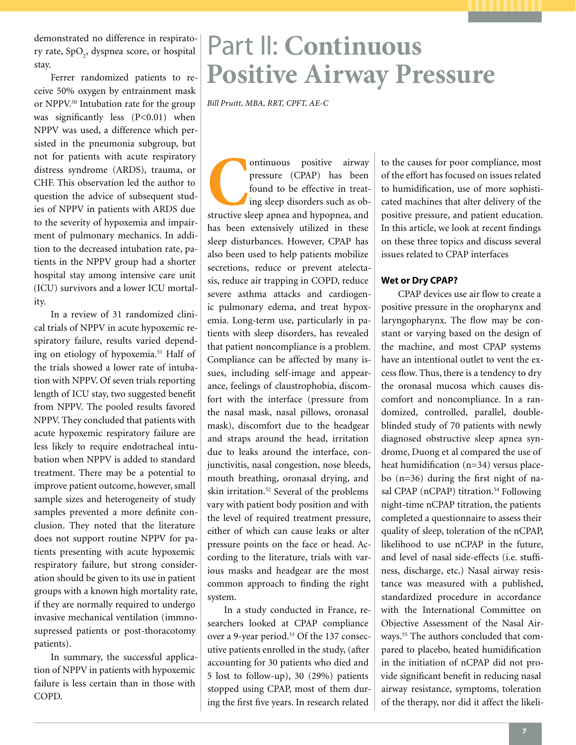demonstrated no difference in respiratory rate, SpO<sub>2</sub>, dyspnea score, or hospital stay.

Ferrer randomized patients to receive 50% oxygen by entrainment mask or NPPV.<sup>50</sup> Intubation rate for the group was significantly less (P<0.01) when NPPV was used, a difference which persisted in the pneumonia subgroup, but not for patients with acute respiratory distress syndrome (ARDS), trauma, or CHF. This observation led the author to question the advice of subsequent studies of NPPV in patients with ARDS due to the severity of hypoxemia and impairment of pulmonary mechanics. In addition to the decreased intubation rate, patients in the NPPV group had a shorter hospital stay among intensive care unit (ICU) survivors and a lower ICU mortality.

In a review of 31 randomized clinical trials of NPPV in acute hypoxemic respiratory failure, results varied depending on etiology of hypoxemia.51 Half of the trials showed a lower rate of intubation with NPPV. Of seven trials reporting length of ICU stay, two suggested benefit from NPPV. The pooled results favored NPPV. They concluded that patients with acute hypoxemic respiratory failure are less likely to require endotracheal intubation when NPPV is added to standard treatment. There may be a potential to improve patient outcome, however, small sample sizes and heterogeneity of study samples prevented a more definite conclusion. They noted that the literature does not support routine NPPV for patients presenting with acute hypoxemic respiratory failure, but strong consideration should be given to its use in patient groups with a known high mortality rate, if they are normally required to undergo invasive mechanical ventilation (immnosupressed patients or post-thoracotomy patients).

In summary, the successful application of NPPV in patients with hypoxemic failure is less certain than in those with COPD.

# Part II: **Continuous Positive Airway Pressure**

*Bill Pruitt, MBA, RRT, CPFT, AE-C*

ontinuous positive airway pressure (CPAP) has been found to be effective in treating sleep disorders such as obstructive sleep apnea and hypopnea, and pressure (CPAP) has been found to be effective in treating sleep disorders such as obhas been extensively utilized in these sleep disturbances. However, CPAP has also been used to help patients mobilize secretions, reduce or prevent atelectasis, reduce air trapping in COPD, reduce severe asthma attacks and cardiogenic pulmonary edema, and treat hypoxemia. Long-term use, particularly in patients with sleep disorders, has revealed that patient noncompliance is a problem. Compliance can be affected by many issues, including self-image and appearance, feelings of claustrophobia, discomfort with the interface (pressure from the nasal mask, nasal pillows, oronasal mask), discomfort due to the headgear and straps around the head, irritation due to leaks around the interface, conjunctivitis, nasal congestion, nose bleeds, mouth breathing, oronasal drying, and skin irritation.<sup>52</sup> Several of the problems vary with patient body position and with the level of required treatment pressure, either of which can cause leaks or alter pressure points on the face or head. According to the literature, trials with various masks and headgear are the most common approach to finding the right system.

In a study conducted in France, researchers looked at CPAP compliance over a 9-year period.<sup>53</sup> Of the 137 consecutive patients enrolled in the study, (after accounting for 30 patients who died and 5 lost to follow-up), 30 (29%) patients stopped using CPAP, most of them during the first five years. In research related

to the causes for poor compliance, most of the effort has focused on issues related to humidification, use of more sophisticated machines that alter delivery of the positive pressure, and patient education. In this article, we look at recent findings on these three topics and discuss several issues related to CPAP interfaces

#### **Wet or Dry CPAP?**

CPAP devices use air flow to create a positive pressure in the oropharynx and laryngopharynx. The flow may be constant or varying based on the design of the machine, and most CPAP systems have an intentional outlet to vent the excess flow. Thus, there is a tendency to dry the oronasal mucosa which causes discomfort and noncompliance. In a randomized, controlled, parallel, doubleblinded study of 70 patients with newly diagnosed obstructive sleep apnea syndrome, Duong et al compared the use of heat humidification (n=34) versus placebo (n=36) during the first night of nasal CPAP (nCPAP) titration.<sup>54</sup> Following night-time nCPAP titration, the patients completed a questionnaire to assess their quality of sleep, toleration of the nCPAP, likelihood to use nCPAP in the future, and level of nasal side-effects (i.e. stuffiness, discharge, etc.) Nasal airway resistance was measured with a published, standardized procedure in accordance with the International Committee on Objective Assessment of the Nasal Airways.55 The authors concluded that compared to placebo, heated humidification in the initiation of nCPAP did not provide significant benefit in reducing nasal airway resistance, symptoms, toleration of the therapy, nor did it affect the likeli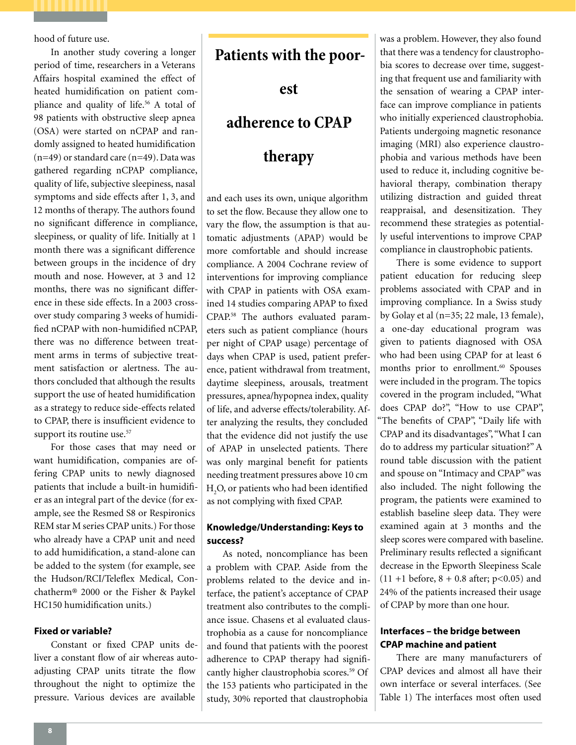hood of future use.

In another study covering a longer period of time, researchers in a Veterans Affairs hospital examined the effect of heated humidification on patient compliance and quality of life.<sup>56</sup> A total of 98 patients with obstructive sleep apnea (OSA) were started on nCPAP and randomly assigned to heated humidification (n=49) or standard care (n=49). Data was gathered regarding nCPAP compliance, quality of life, subjective sleepiness, nasal symptoms and side effects after 1, 3, and 12 months of therapy. The authors found no significant difference in compliance, sleepiness, or quality of life. Initially at 1 month there was a significant difference between groups in the incidence of dry mouth and nose. However, at 3 and 12 months, there was no significant difference in these side effects. In a 2003 crossover study comparing 3 weeks of humidified nCPAP with non-humidified nCPAP, there was no difference between treatment arms in terms of subjective treatment satisfaction or alertness. The authors concluded that although the results support the use of heated humidification as a strategy to reduce side-effects related to CPAP, there is insufficient evidence to support its routine use.<sup>57</sup>

For those cases that may need or want humidification, companies are offering CPAP units to newly diagnosed patients that include a built-in humidifier as an integral part of the device (for example, see the Resmed S8 or Respironics REM star M series CPAP units.) For those who already have a CPAP unit and need to add humidification, a stand-alone can be added to the system (for example, see the Hudson/RCI/Teleflex Medical, Conchatherm® 2000 or the Fisher & Paykel HC150 humidification units.)

#### **Fixed or variable?**

Constant or fixed CPAP units deliver a constant flow of air whereas autoadjusting CPAP units titrate the flow throughout the night to optimize the pressure. Various devices are available

# **Patients with the poor-**

**est** 

# **adherence to CPAP**

# **therapy**

and each uses its own, unique algorithm to set the flow. Because they allow one to vary the flow, the assumption is that automatic adjustments (APAP) would be more comfortable and should increase compliance. A 2004 Cochrane review of interventions for improving compliance with CPAP in patients with OSA examined 14 studies comparing APAP to fixed CPAP.58 The authors evaluated parameters such as patient compliance (hours per night of CPAP usage) percentage of days when CPAP is used, patient preference, patient withdrawal from treatment, daytime sleepiness, arousals, treatment pressures, apnea/hypopnea index, quality of life, and adverse effects/tolerability. After analyzing the results, they concluded that the evidence did not justify the use of APAP in unselected patients. There was only marginal benefit for patients needing treatment pressures above 10 cm  $\rm H_2O$  or patients who had been identified as not complying with fixed CPAP.

### **Knowledge/Understanding: Keys to success?**

As noted, noncompliance has been a problem with CPAP. Aside from the problems related to the device and interface, the patient's acceptance of CPAP treatment also contributes to the compliance issue. Chasens et al evaluated claustrophobia as a cause for noncompliance and found that patients with the poorest adherence to CPAP therapy had significantly higher claustrophobia scores.<sup>59</sup> Of the 153 patients who participated in the study, 30% reported that claustrophobia

was a problem. However, they also found that there was a tendency for claustrophobia scores to decrease over time, suggesting that frequent use and familiarity with the sensation of wearing a CPAP interface can improve compliance in patients who initially experienced claustrophobia. Patients undergoing magnetic resonance imaging (MRI) also experience claustrophobia and various methods have been used to reduce it, including cognitive behavioral therapy, combination therapy utilizing distraction and guided threat reappraisal, and desensitization. They recommend these strategies as potentially useful interventions to improve CPAP compliance in claustrophobic patients.

There is some evidence to support patient education for reducing sleep problems associated with CPAP and in improving compliance. In a Swiss study by Golay et al (n=35; 22 male, 13 female), a one-day educational program was given to patients diagnosed with OSA who had been using CPAP for at least 6 months prior to enrollment.<sup>60</sup> Spouses were included in the program. The topics covered in the program included, "What does CPAP do?", "How to use CPAP", "The benefits of CPAP", "Daily life with CPAP and its disadvantages", "What I can do to address my particular situation?" A round table discussion with the patient and spouse on "Intimacy and CPAP" was also included. The night following the program, the patients were examined to establish baseline sleep data. They were examined again at 3 months and the sleep scores were compared with baseline. Preliminary results reflected a significant decrease in the Epworth Sleepiness Scale  $(11 + 1)$  before,  $8 + 0.8$  after;  $p < 0.05$ ) and 24% of the patients increased their usage of CPAP by more than one hour.

### **Interfaces – the bridge between CPAP machine and patient**

There are many manufacturers of CPAP devices and almost all have their own interface or several interfaces. (See Table 1) The interfaces most often used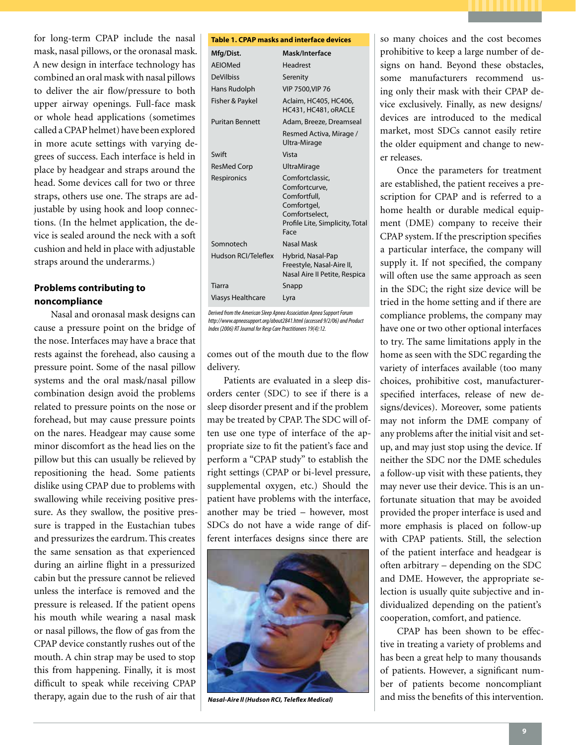for long-term CPAP include the nasal mask, nasal pillows, or the oronasal mask. A new design in interface technology has combined an oral mask with nasal pillows to deliver the air flow/pressure to both upper airway openings. Full-face mask or whole head applications (sometimes called a CPAP helmet) have been explored in more acute settings with varying degrees of success. Each interface is held in place by headgear and straps around the head. Some devices call for two or three straps, others use one. The straps are adjustable by using hook and loop connections. (In the helmet application, the device is sealed around the neck with a soft cushion and held in place with adjustable straps around the underarms.)

### **Problems contributing to noncompliance**

Nasal and oronasal mask designs can cause a pressure point on the bridge of the nose. Interfaces may have a brace that rests against the forehead, also causing a pressure point. Some of the nasal pillow systems and the oral mask/nasal pillow combination design avoid the problems related to pressure points on the nose or forehead, but may cause pressure points on the nares. Headgear may cause some minor discomfort as the head lies on the pillow but this can usually be relieved by repositioning the head. Some patients dislike using CPAP due to problems with swallowing while receiving positive pressure. As they swallow, the positive pressure is trapped in the Eustachian tubes and pressurizes the eardrum. This creates the same sensation as that experienced during an airline flight in a pressurized cabin but the pressure cannot be relieved unless the interface is removed and the pressure is released. If the patient opens his mouth while wearing a nasal mask or nasal pillows, the flow of gas from the CPAP device constantly rushes out of the mouth. A chin strap may be used to stop this from happening. Finally, it is most difficult to speak while receiving CPAP therapy, again due to the rush of air that

#### **Table 1. CPAP masks and interface devices**

| Mfg/Dist.                | Mask/Interface                                                                                                               |
|--------------------------|------------------------------------------------------------------------------------------------------------------------------|
| AFIOMed                  | <b>Headrest</b>                                                                                                              |
| <b>DeVilbiss</b>         | Serenity                                                                                                                     |
| Hans Rudolph             | <b>VIP 7500.VIP 76</b>                                                                                                       |
| Fisher & Paykel          | Aclaim, HC405, HC406,<br>HC431, HC481, oRACLE                                                                                |
| <b>Puritan Bennett</b>   | Adam, Breeze, Dreamseal                                                                                                      |
|                          | Resmed Activa, Mirage /<br>Ultra-Mirage                                                                                      |
| Swift                    | Vista                                                                                                                        |
| ResMed Corp              | <b>UltraMirage</b>                                                                                                           |
| Respironics              | Comfortclassic,<br>Comfortcurve,<br>Comfortfull,<br>Comfortgel,<br>Comfortselect,<br>Profile Lite, Simplicity, Total<br>Face |
| Somnotech                | Nasal Mask                                                                                                                   |
| Hudson RCI/Teleflex      | Hybrid, Nasal-Pap<br>Freestyle, Nasal-Aire II,<br>Nasal Aire II Petite, Respica                                              |
| Tiarra                   | Snapp                                                                                                                        |
| <b>Viasys Healthcare</b> | Lyra                                                                                                                         |

*Derived from the American Sleep Apnea Association Apnea Support Forum http://www.apneasupport.org/about2841.html (accessed 9/2/06) and Product Index (2006) RT Journal for Resp Care Practitioners 19(4):12.*

comes out of the mouth due to the flow delivery.

Patients are evaluated in a sleep disorders center (SDC) to see if there is a sleep disorder present and if the problem may be treated by CPAP. The SDC will often use one type of interface of the appropriate size to fit the patient's face and perform a "CPAP study" to establish the right settings (CPAP or bi-level pressure, supplemental oxygen, etc.) Should the patient have problems with the interface, another may be tried – however, most SDCs do not have a wide range of different interfaces designs since there are



*Nasal-Aire ll (Hudson RCI, Teleflex Medical)*

so many choices and the cost becomes prohibitive to keep a large number of designs on hand. Beyond these obstacles, some manufacturers recommend using only their mask with their CPAP device exclusively. Finally, as new designs/ devices are introduced to the medical market, most SDCs cannot easily retire the older equipment and change to newer releases.

Once the parameters for treatment are established, the patient receives a prescription for CPAP and is referred to a home health or durable medical equipment (DME) company to receive their CPAP system. If the prescription specifies a particular interface, the company will supply it. If not specified, the company will often use the same approach as seen in the SDC; the right size device will be tried in the home setting and if there are compliance problems, the company may have one or two other optional interfaces to try. The same limitations apply in the home as seen with the SDC regarding the variety of interfaces available (too many choices, prohibitive cost, manufacturerspecified interfaces, release of new designs/devices). Moreover, some patients may not inform the DME company of any problems after the initial visit and setup, and may just stop using the device. If neither the SDC nor the DME schedules a follow-up visit with these patients, they may never use their device. This is an unfortunate situation that may be avoided provided the proper interface is used and more emphasis is placed on follow-up with CPAP patients. Still, the selection of the patient interface and headgear is often arbitrary – depending on the SDC and DME. However, the appropriate selection is usually quite subjective and individualized depending on the patient's cooperation, comfort, and patience.

CPAP has been shown to be effective in treating a variety of problems and has been a great help to many thousands of patients. However, a significant number of patients become noncompliant and miss the benefits of this intervention.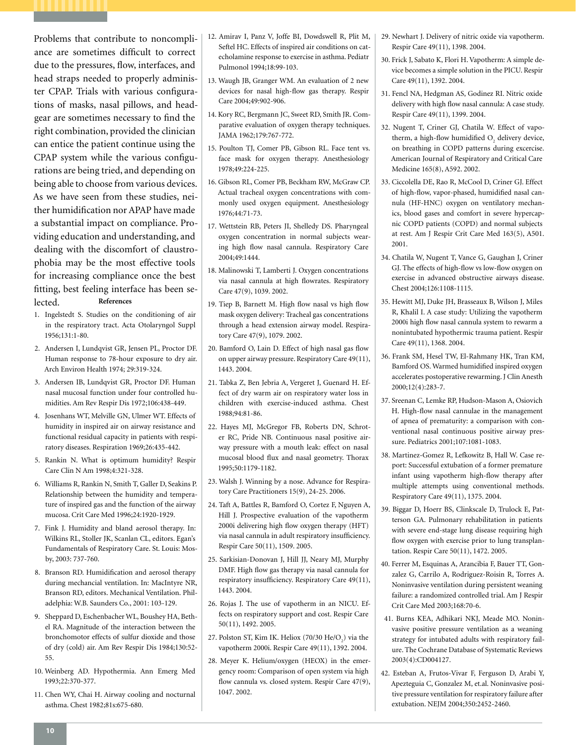Problems that contribute to noncompliance are sometimes difficult to correct due to the pressures, flow, interfaces, and head straps needed to properly administer CPAP. Trials with various configurations of masks, nasal pillows, and headgear are sometimes necessary to find the right combination, provided the clinician can entice the patient continue using the CPAP system while the various configurations are being tried, and depending on being able to choose from various devices. As we have seen from these studies, neither humidification nor APAP have made a substantial impact on compliance. Providing education and understanding, and dealing with the discomfort of claustrophobia may be the most effective tools for increasing compliance once the best fitting, best feeling interface has been selected. **References** 

- 1. Ingelstedt S. Studies on the conditioning of air in the respiratory tract. Acta Otolaryngol Suppl 1956;131:1-80.
- 2. Andersen I, Lundqvist GR, Jensen PL, Proctor DF. Human response to 78-hour exposure to dry air. Arch Environ Health 1974; 29:319-324.
- 3. Andersen IB, Lundqvist GR, Proctor DF. Human nasal mucosal function under four controlled humidities. Am Rev Respir Dis 1972;106:438-449.
- 4. Josenhans WT, Melville GN, Ulmer WT. Effects of humidity in inspired air on airway resistance and functional residual capacity in patients with respiratory diseases. Respiration 1969;26:435-442.
- 5. Rankin N. What is optimum humidity? Respir Care Clin N Am 1998;4:321-328.
- 6. Williams R, Rankin N, Smith T, Galler D, Seakins P. Relationship between the humidity and temperature of inspired gas and the function of the airway mucosa. Crit Care Med 1996;24:1920-1929.
- 7. Fink J. Humidity and bland aerosol therapy. In: Wilkins RL, Stoller JK, Scanlan CL, editors. Egan's Fundamentals of Respiratory Care. St. Louis: Mosby, 2003: 737-760.
- 8. Branson RD. Humidification and aerosol therapy during mechancial ventilation. In: MacIntyre NR, Branson RD, editors. Mechanical Ventilation. Philadelphia: W.B. Saunders Co., 2001: 103-129.
- 9. Sheppard D, Eschenbacher WL, Boushey HA, Bethel RA. Magnitude of the interaction between the bronchomotor effects of sulfur dioxide and those of dry (cold) air. Am Rev Respir Dis 1984;130:52- 55.
- 10. Weinberg AD. Hypothermia. Ann Emerg Med 1993;22:370-377.
- 11. Chen WY, Chai H. Airway cooling and nocturnal asthma. Chest 1982;81s:675-680.
- 12. Amirav I, Panz V, Joffe BI, Dowdswell R, Plit M, Seftel HC. Effects of inspired air conditions on catecholamine response to exercise in asthma. Pediatr Pulmonol 1994;18:99-103.
- 13. Waugh JB, Granger WM. An evaluation of 2 new devices for nasal high-flow gas therapy. Respir Care 2004;49:902-906.
- 14. Kory RC, Bergmann JC, Sweet RD, Smith JR. Comparative evaluation of oxygen therapy techniques. JAMA 1962;179:767-772.
- 15. Poulton TJ, Comer PB, Gibson RL. Face tent vs. face mask for oxygen therapy. Anesthesiology 1978;49:224-225.
- 16. Gibson RL, Comer PB, Beckham RW, McGraw CP. Actual tracheal oxygen concentrations with commonly used oxygen equipment. Anesthesiology 1976;44:71-73.
- 17. Wettstein RB, Peters JI, Shelledy DS. Pharyngeal oxygen concentration in normal subjects wearing high flow nasal cannula. Respiratory Care 2004;49:1444.
- 18. Malinowski T, Lamberti J. Oxygen concentrations via nasal cannula at high flowrates. Respiratory Care 47(9), 1039. 2002.
- 19. Tiep B, Barnett M. High flow nasal vs high flow mask oxygen delivery: Tracheal gas concentrations through a head extension airway model. Respiratory Care 47(9), 1079. 2002.
- 20. Bamford O, Lain D. Effect of high nasal gas flow on upper airway pressure. Respiratory Care 49(11), 1443. 2004.
- 21. Tabka Z, Ben Jebria A, Vergeret J, Guenard H. Effect of dry warm air on respiratory water loss in children with exercise-induced asthma. Chest 1988;94:81-86.
- 22. Hayes MJ, McGregor FB, Roberts DN, Schroter RC, Pride NB. Continuous nasal positive airway pressure with a mouth leak: effect on nasal mucosal blood flux and nasal geometry. Thorax 1995;50:1179-1182.
- 23. Walsh J. Winning by a nose. Advance for Respiratory Care Practitioners 15(9), 24-25. 2006.
- 24. Taft A, Battles R, Bamford O, Cortez F, Nguyen A, Hill J. Prospective evaluation of the vapotherm 2000i delivering high flow oxygen therapy (HFT) via nasal cannula in adult respiratory insufficiency. Respir Care 50(11), 1509. 2005.
- 25. Sarkisian-Donovan J, Hill JJ, Neary MJ, Murphy DMF. High flow gas therapy via nasal cannula for respiratory insufficiency. Respiratory Care 49(11), 1443. 2004.
- 26. Rojas J. The use of vapotherm in an NICU. Effects on respiratory support and cost. Respir Care 50(11), 1492. 2005.
- 27. Polston ST, Kim IK. Heliox (70/30  $\text{He/O}_2$ ) via the vapotherm 2000i. Respir Care 49(11), 1392. 2004.
- 28. Meyer K. Helium/oxygen (HEOX) in the emergency room: Comparison of open system via high flow cannula vs. closed system. Respir Care 47(9), 1047. 2002.
- 29. Newhart J. Delivery of nitric oxide via vapotherm. Respir Care 49(11), 1398. 2004.
- 30. Frick J, Sabato K, Flori H. Vapotherm: A simple device becomes a simple solution in the PICU. Respir Care 49(11), 1392. 2004.
- 31. Fencl NA, Hedgman AS, Godinez RI. Nitric oxide delivery with high flow nasal cannula: A case study. Respir Care 49(11), 1399. 2004.
- 32. Nugent T, Criner GJ, Chatila W. Effect of vapotherm, a high-flow humidified  $O_2$  delivery device, on breathing in COPD patterns during excercise. American Journal of Respiratory and Critical Care Medicine 165(8), A592. 2002.
- 33. Ciccolella DE, Rao R, McCool D, Criner GJ. Effect of high-flow, vapor-phased, humidified nasal cannula (HF-HNC) oxygen on ventilatory mechanics, blood gases and comfort in severe hypercapnic COPD patients (COPD) and normal subjects at rest. Am J Respir Crit Care Med 163(5), A501. 2001.
- 34. Chatila W, Nugent T, Vance G, Gaughan J, Criner GJ. The effects of high-flow vs low-flow oxygen on exercise in advanced obstructive airways disease. Chest 2004;126:1108-1115.
- 35. Hewitt MJ, Duke JH, Brasseaux B, Wilson J, Miles R, Khalil I. A case study: Utilizing the vapotherm 2000i high flow nasal cannula system to rewarm a nonintubated hypothermic trauma patient. Respir Care 49(11), 1368. 2004.
- 36. Frank SM, Hesel TW, El-Rahmany HK, Tran KM, Bamford OS. Warmed humidified inspired oxygen accelerates postoperative rewarming. J Clin Anesth 2000;12(4):283-7.
- 37. Sreenan C, Lemke RP, Hudson-Mason A, Osiovich H. High-flow nasal cannulae in the management of apnea of prematurity: a comparison with conventional nasal continuous positive airway pressure. Pediatrics 2001;107:1081-1083.
- 38. Martinez-Gomez R, Lefkowitz B, Hall W. Case report: Successful extubation of a former premature infant using vapotherm high-flow therapy after multiple attempts using conventional methods. Respiratory Care 49(11), 1375. 2004.
- 39. Biggar D, Hoerr BS, Clinkscale D, Trulock E, Patterson GA. Pulmonary rehabilitation in patients with severe end-stage lung disease requiring high flow oxygen with exercise prior to lung transplantation. Respir Care 50(11), 1472. 2005.
- 40. Ferrer M, Esquinas A, Arancibia F, Bauer TT, Gonzalez G, Carrilo A, Rodriguez-Roisin R, Torres A. Noninvasive ventilation during persistent weaning failure: a randomized controlled trial. Am J Respir Crit Care Med 2003;168:70-6.
- 41. Burns KEA, Adhikari NKJ, Meade MO. Noninvasive positive pressure ventilation as a weaning strategy for intubated adults with respiratory failure. The Cochrane Database of Systematic Reviews 2003(4):CD004127.
- 42. Esteban A, Frutos-Vivar F, Ferguson D, Arabi Y, Apezteguia C, Gonzalez M, et.al. Noninvasive positive pressure ventilation for respiratory failure after extubation. NEJM 2004;350:2452-2460.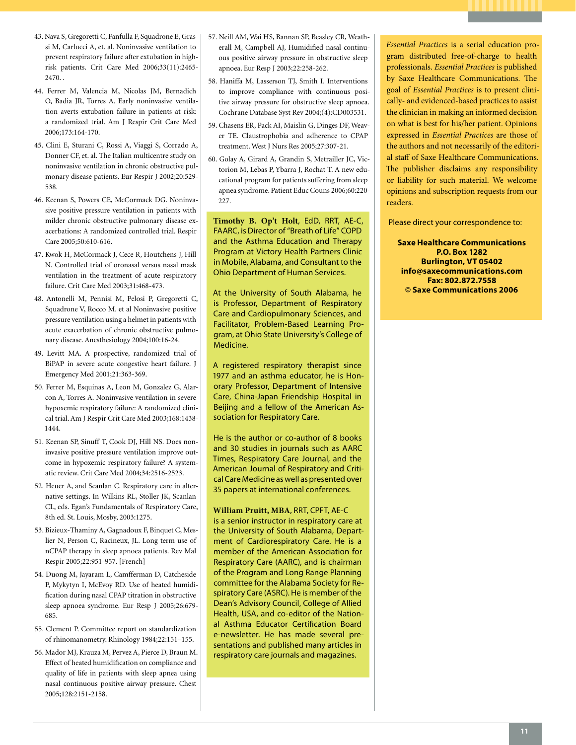- 43. Nava S, Gregoretti C, Fanfulla F, Squadrone E, Grassi M, Carlucci A, et. al. Noninvasive ventilation to prevent respiratory failure after extubation in highrisk patients. Crit Care Med 2006;33(11):2465- 2470. .
- 44. Ferrer M, Valencia M, Nicolas JM, Bernadich O, Badia JR, Torres A. Early noninvasive ventilation averts extubation failure in patients at risk: a randomized trial. Am J Respir Crit Care Med 2006;173:164-170.
- 45. Clini E, Sturani C, Rossi A, Viaggi S, Corrado A, Donner CF, et. al. The Italian multicentre study on noninvasive ventilation in chronic obstructive pulmonary disease patients. Eur Respir J 2002;20:529- 538.
- 46. Keenan S, Powers CE, McCormack DG. Noninvasive positive pressure ventilation in patients with milder chronic obstructive pulmonary disease exacerbations: A randomized controlled trial. Respir Care 2005;50:610-616.
- 47. Kwok H, McCormack J, Cece R, Houtchens J, Hill N. Controlled trial of oronasal versus nasal mask ventilation in the treatment of acute respiratory failure. Crit Care Med 2003;31:468-473.
- 48. Antonelli M, Pennisi M, Pelosi P, Gregoretti C, Squadrone V, Rocco M. et al Noninvasive positive pressure ventilation using a helmet in patients with acute exacerbation of chronic obstructive pulmonary disease. Anesthesiology 2004;100:16-24.
- 49. Levitt MA. A prospective, randomized trial of BiPAP in severe acute congestive heart failure. J Emergency Med 2001;21:363-369.
- 50. Ferrer M, Esquinas A, Leon M, Gonzalez G, Alarcon A, Torres A. Noninvasive ventilation in severe hypoxemic respiratory failure: A randomized clinical trial. Am J Respir Crit Care Med 2003;168:1438- 1444.
- 51. Keenan SP, Sinuff T, Cook DJ, Hill NS. Does noninvasive positive pressure ventilation improve outcome in hypoxemic respiratory failure? A systematic review. Crit Care Med 2004;34:2516-2523.
- 52. Heuer A, and Scanlan C. Respiratory care in alternative settings. In Wilkins RL, Stoller JK, Scanlan CL, eds. Egan's Fundamentals of Respiratory Care, 8th ed. St. Louis, Mosby, 2003:1275.
- 53. Bizieux-Thaminy A, Gagnadoux F, Binquet C, Meslier N, Person C, Racineux, JL. Long term use of nCPAP therapy in sleep apnoea patients. Rev Mal Respir 2005;22:951-957. [French]
- 54. Duong M, Jayaram L, Camfferman D, Catcheside P, Mykytyn I, McEvoy RD. Use of heated humidification during nasal CPAP titration in obstructive sleep apnoea syndrome. Eur Resp J 2005;26:679- 685.
- 55. Clement P. Committee report on standardization of rhinomanometry. Rhinology 1984;22:151–155.
- 56. Mador MJ, Krauza M, Pervez A, Pierce D, Braun M. Effect of heated humidification on compliance and quality of life in patients with sleep apnea using nasal continuous positive airway pressure. Chest 2005;128:2151-2158.
- 57. Neill AM, Wai HS, Bannan SP, Beasley CR, Weatherall M, Campbell AJ, Humidified nasal continuous positive airway pressure in obstructive sleep apnoea. Eur Resp J 2003;22:258-262.
- 58. Haniffa M, Lasserson TJ, Smith I. Interventions to improve compliance with continuous positive airway pressure for obstructive sleep apnoea. Cochrane Database Syst Rev 2004;(4):CD003531.
- 59. Chasens ER, Pack AI, Maislin G, Dinges DF, Weaver TE. Claustrophobia and adherence to CPAP treatment. West J Nurs Res 2005;27:307-21.
- 60. Golay A, Girard A, Grandin S, Metrailler JC, Victorion M, Lebas P, Ybarra J, Rochat T. A new educational program for patients suffering from sleep apnea syndrome. Patient Educ Couns 2006;60:220- 227.

**Timothy B. Op't Holt**, EdD, RRT, AE-C, FAARC, is Director of "Breath of Life" COPD and the Asthma Education and Therapy Program at Victory Health Partners Clinic in Mobile, Alabama, and Consultant to the Ohio Department of Human Services.

At the University of South Alabama, he is Professor, Department of Respiratory Care and Cardiopulmonary Sciences, and Facilitator, Problem-Based Learning Program, at Ohio State University's College of Medicine.

A registered respiratory therapist since 1977 and an asthma educator, he is Honorary Professor, Department of Intensive Care, China-Japan Friendship Hospital in Beijing and a fellow of the American Association for Respiratory Care.

He is the author or co-author of 8 books and 30 studies in journals such as AARC Times, Respiratory Care Journal, and the American Journal of Respiratory and Critical Care Medicine as well as presented over 35 papers at international conferences.

#### **William Pruitt, MBA**, RRT, CPFT, AE-C

is a senior instructor in respiratory care at the University of South Alabama, Department of Cardiorespiratory Care. He is a member of the American Association for Respiratory Care (AARC), and is chairman of the Program and Long Range Planning committee for the Alabama Society for Respiratory Care (ASRC). He is member of the Dean's Advisory Council, College of Allied Health, USA, and co-editor of the National Asthma Educator Certification Board e-newsletter. He has made several presentations and published many articles in respiratory care journals and magazines.

*Essential Practices* is a serial education program distributed free-of-charge to health professionals. *Essential Practices* is published by Saxe Healthcare Communications. The goal of *Essential Practices* is to present clinically- and evidenced-based practices to assist the clinician in making an informed decision on what is best for his/her patient. Opinions expressed in *Essential Practices* are those of the authors and not necessarily of the editorial staff of Saxe Healthcare Communications. The publisher disclaims any responsibility or liability for such material. We welcome opinions and subscription requests from our readers.

Please direct your correspondence to:

**Saxe Healthcare Communications P.O. Box 1282 Burlington, VT 05402 info@saxecommunications.com Fax: 802.872.7558 © Saxe Communications 2006**